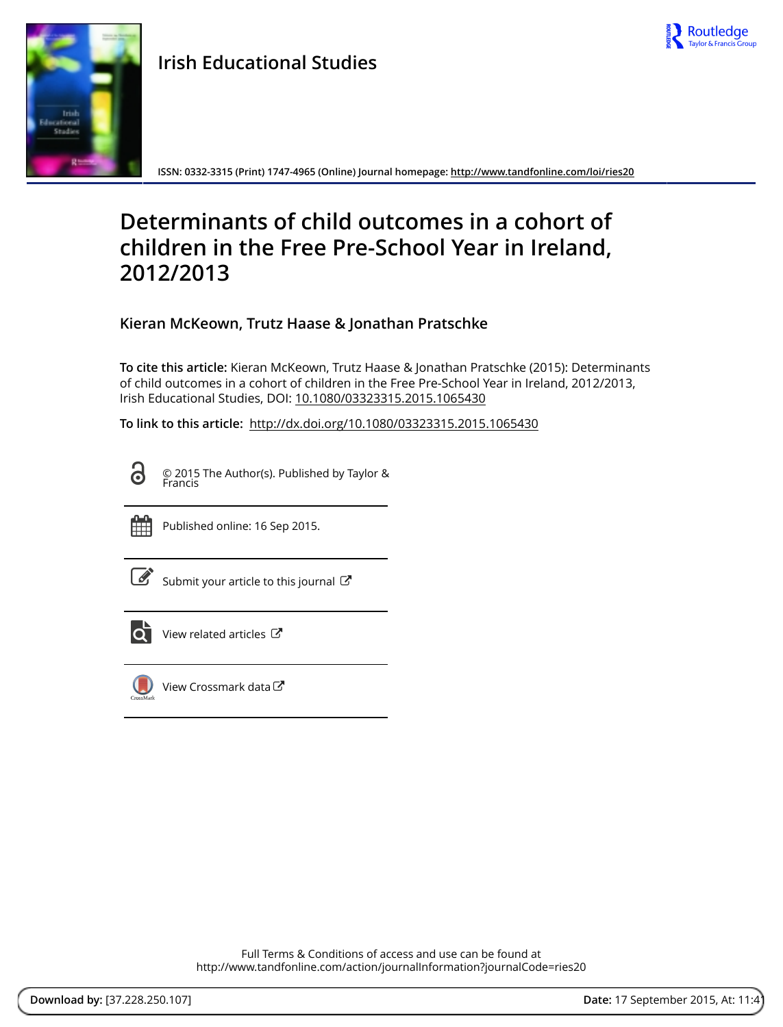

# **Irish Educational Studies**



**ISSN: 0332-3315 (Print) 1747-4965 (Online) Journal homepage:<http://www.tandfonline.com/loi/ries20>**

# **Determinants of child outcomes in a cohort of children in the Free Pre-School Year in Ireland, 2012/2013**

**Kieran McKeown, Trutz Haase & Jonathan Pratschke**

**To cite this article:** Kieran McKeown, Trutz Haase & Jonathan Pratschke (2015): Determinants of child outcomes in a cohort of children in the Free Pre-School Year in Ireland, 2012/2013, Irish Educational Studies, DOI: [10.1080/03323315.2015.1065430](http://www.tandfonline.com/action/showCitFormats?doi=10.1080/03323315.2015.1065430)

**To link to this article:** <http://dx.doi.org/10.1080/03323315.2015.1065430>

G

© 2015 The Author(s). Published by Taylor & **Francis** 



Published online: 16 Sep 2015.

[Submit your article to this journal](http://www.tandfonline.com/action/authorSubmission?journalCode=ries20&page=instructions)  $\mathbb{Z}$ 



 $\overrightarrow{Q}$  [View related articles](http://www.tandfonline.com/doi/mlt/10.1080/03323315.2015.1065430)  $\overrightarrow{C}$ 



[View Crossmark data](http://crossmark.crossref.org/dialog/?doi=10.1080/03323315.2015.1065430&domain=pdf&date_stamp=2015-09-16)<sup>で</sup>

Full Terms & Conditions of access and use can be found at <http://www.tandfonline.com/action/journalInformation?journalCode=ries20>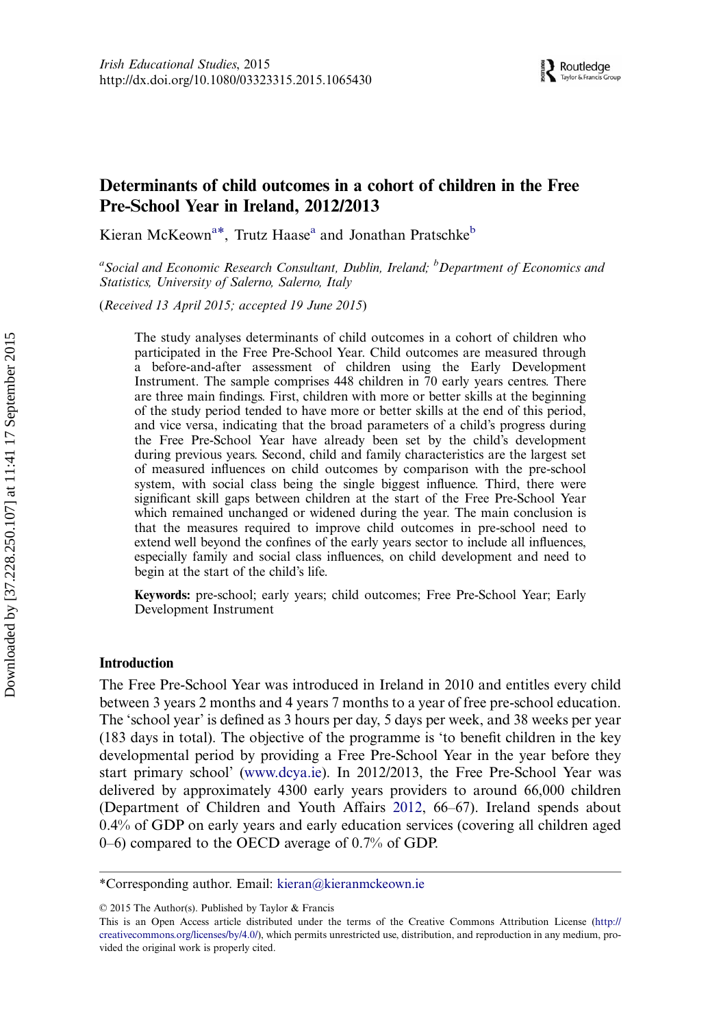# Determinants of child outcomes in a cohort of children in the Free Pre-School Year in Ireland, 2012/2013

Kieran McKeown<sup>a\*</sup>, Trutz Haase<sup>a</sup> and Jonathan Pratschke<sup>b</sup>

<sup>a</sup> Social and Economic Research Consultant, Dublin, Ireland;  $^b$ Department of Economics and Statistics, University of Salerno, Salerno, Italy

(Received 13 April 2015; accepted 19 June 2015)

The study analyses determinants of child outcomes in a cohort of children who participated in the Free Pre-School Year. Child outcomes are measured through a before-and-after assessment of children using the Early Development Instrument. The sample comprises 448 children in 70 early years centres. There are three main findings. First, children with more or better skills at the beginning of the study period tended to have more or better skills at the end of this period, and vice versa, indicating that the broad parameters of a child's progress during the Free Pre-School Year have already been set by the child's development during previous years. Second, child and family characteristics are the largest set of measured influences on child outcomes by comparison with the pre-school system, with social class being the single biggest influence. Third, there were significant skill gaps between children at the start of the Free Pre-School Year which remained unchanged or widened during the year. The main conclusion is that the measures required to improve child outcomes in pre-school need to extend well beyond the confines of the early years sector to include all influences, especially family and social class influences, on child development and need to begin at the start of the child's life.

Keywords: pre-school; early years; child outcomes; Free Pre-School Year; Early Development Instrument

#### Introduction

The Free Pre-School Year was introduced in Ireland in 2010 and entitles every child between 3 years 2 months and 4 years 7 months to a year of free pre-school education. The 'school year' is defined as 3 hours per day, 5 days per week, and 38 weeks per year (183 days in total). The objective of the programme is 'to benefit children in the key developmental period by providing a Free Pre-School Year in the year before they start primary school' [\(www.dcya.ie](www.dcya.ie)). In 2012/2013, the Free Pre-School Year was delivered by approximately 4300 early years providers to around 66,000 children (Department of Children and Youth Affairs [2012,](#page-17-0) 66–67). Ireland spends about 0.4% of GDP on early years and early education services (covering all children aged 0–6) compared to the OECD average of 0.7% of GDP.

<sup>\*</sup>Corresponding author. Email: [kieran@kieranmckeown.ie](mailto:kieran@kieranmckeown.ie)

<sup>© 2015</sup> The Author(s). Published by Taylor & Francis

This is an Open Access article distributed under the terms of the Creative Commons Attribution License [\(http://](http://creativecommons.org/licenses/by/4.0/) [creativecommons.org/licenses/by/4.0/](http://creativecommons.org/licenses/by/4.0/)), which permits unrestricted use, distribution, and reproduction in any medium, provided the original work is properly cited.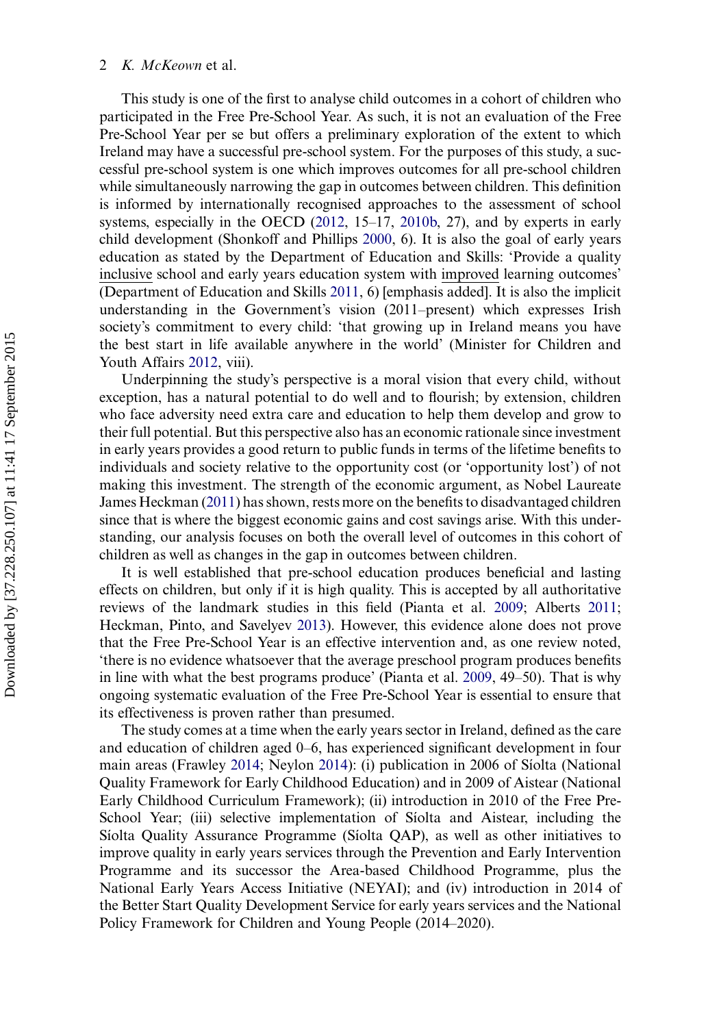### 2 K. McKeown et al.

This study is one of the first to analyse child outcomes in a cohort of children who participated in the Free Pre-School Year. As such, it is not an evaluation of the Free Pre-School Year per se but offers a preliminary exploration of the extent to which Ireland may have a successful pre-school system. For the purposes of this study, a successful pre-school system is one which improves outcomes for all pre-school children while simultaneously narrowing the gap in outcomes between children. This definition is informed by internationally recognised approaches to the assessment of school systems, especially in the OECD ([2012,](#page-19-0) 15–17, [2010b](#page-19-0), 27), and by experts in early child development (Shonkoff and Phillips [2000](#page-19-0), 6). It is also the goal of early years education as stated by the Department of Education and Skills: 'Provide a quality inclusive school and early years education system with improved learning outcomes' (Department of Education and Skills [2011,](#page-17-0) 6) [emphasis added]. It is also the implicit understanding in the Government's vision (2011–present) which expresses Irish society's commitment to every child: 'that growing up in Ireland means you have the best start in life available anywhere in the world' (Minister for Children and Youth Affairs [2012](#page-18-0), viii).

Underpinning the study's perspective is a moral vision that every child, without exception, has a natural potential to do well and to flourish; by extension, children who face adversity need extra care and education to help them develop and grow to their full potential. But this perspective also has an economic rationale since investment in early years provides a good return to public funds in terms of the lifetime benefits to individuals and society relative to the opportunity cost (or 'opportunity lost') of not making this investment. The strength of the economic argument, as Nobel Laureate James Heckman [\(2011](#page-17-0)) has shown, rests more on the benefits to disadvantaged children since that is where the biggest economic gains and cost savings arise. With this understanding, our analysis focuses on both the overall level of outcomes in this cohort of children as well as changes in the gap in outcomes between children.

It is well established that pre-school education produces beneficial and lasting effects on children, but only if it is high quality. This is accepted by all authoritative reviews of the landmark studies in this field (Pianta et al. [2009](#page-19-0); Alberts [2011](#page-16-0); Heckman, Pinto, and Savelyev [2013](#page-17-0)). However, this evidence alone does not prove that the Free Pre-School Year is an effective intervention and, as one review noted, 'there is no evidence whatsoever that the average preschool program produces benefits in line with what the best programs produce' (Pianta et al. [2009,](#page-19-0) 49–50). That is why ongoing systematic evaluation of the Free Pre-School Year is essential to ensure that its effectiveness is proven rather than presumed.

The study comes at a time when the early years sector in Ireland, defined as the care and education of children aged 0–6, has experienced significant development in four main areas (Frawley [2014;](#page-17-0) Neylon [2014](#page-19-0)): (i) publication in 2006 of Síolta (National Quality Framework for Early Childhood Education) and in 2009 of Aistear (National Early Childhood Curriculum Framework); (ii) introduction in 2010 of the Free Pre-School Year; (iii) selective implementation of Síolta and Aistear, including the Síolta Quality Assurance Programme (Síolta QAP), as well as other initiatives to improve quality in early years services through the Prevention and Early Intervention Programme and its successor the Area-based Childhood Programme, plus the National Early Years Access Initiative (NEYAI); and (iv) introduction in 2014 of the Better Start Quality Development Service for early years services and the National Policy Framework for Children and Young People (2014–2020).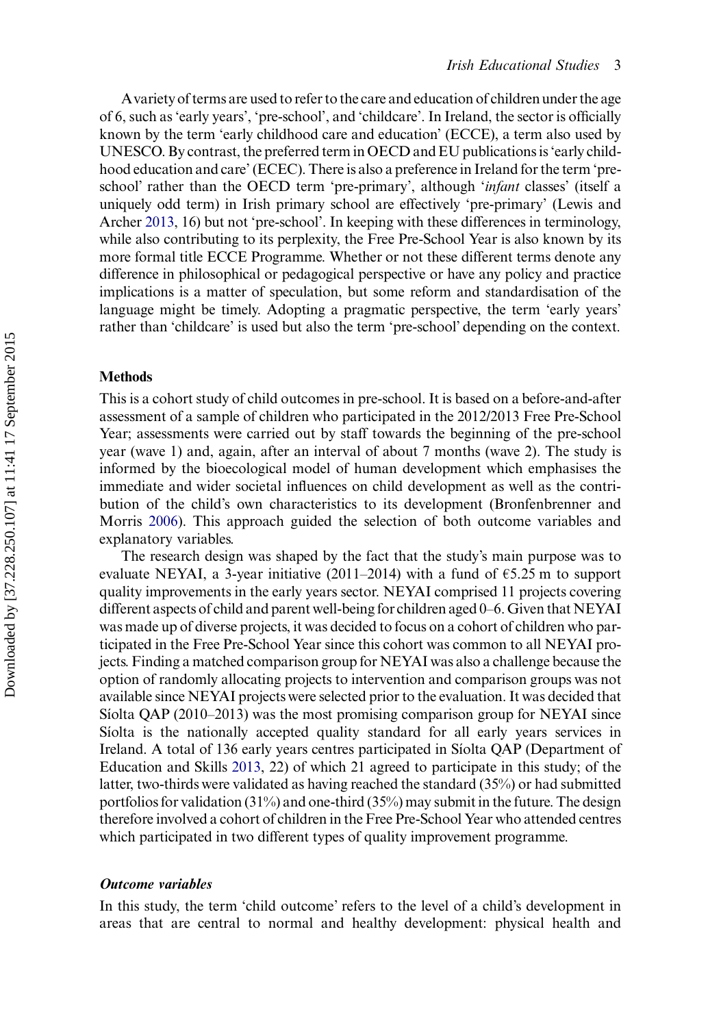Avariety of terms are used to refer to the care and education of children under the age of 6, such as 'early years', 'pre-school', and 'childcare'. In Ireland, the sector is officially known by the term 'early childhood care and education' (ECCE), a term also used by UNESCO. By contrast, the preferred term in OECD and EU publications is'early childhood education and care' (ECEC). There is also a preference in Ireland for the term 'preschool' rather than the OECD term 'pre-primary', although 'infant classes' (itself a uniquely odd term) in Irish primary school are effectively 'pre-primary' (Lewis and Archer [2013](#page-18-0), 16) but not 'pre-school'. In keeping with these differences in terminology, while also contributing to its perplexity, the Free Pre-School Year is also known by its more formal title ECCE Programme. Whether or not these different terms denote any difference in philosophical or pedagogical perspective or have any policy and practice implications is a matter of speculation, but some reform and standardisation of the language might be timely. Adopting a pragmatic perspective, the term 'early years' rather than 'childcare' is used but also the term 'pre-school' depending on the context.

#### Methods

This is a cohort study of child outcomes in pre-school. It is based on a before-and-after assessment of a sample of children who participated in the 2012/2013 Free Pre-School Year; assessments were carried out by staff towards the beginning of the pre-school year (wave 1) and, again, after an interval of about 7 months (wave 2). The study is informed by the bioecological model of human development which emphasises the immediate and wider societal influences on child development as well as the contribution of the child's own characteristics to its development (Bronfenbrenner and Morris [2006\)](#page-16-0). This approach guided the selection of both outcome variables and explanatory variables.

The research design was shaped by the fact that the study's main purpose was to evaluate NEYAI, a 3-year initiative (2011–2014) with a fund of  $\epsilon$ 5.25 m to support quality improvements in the early years sector. NEYAI comprised 11 projects covering different aspects of child and parent well-being for children aged 0–6. Given that NEYAI was made up of diverse projects, it was decided to focus on a cohort of children who participated in the Free Pre-School Year since this cohort was common to all NEYAI projects. Finding a matched comparison group for NEYAI was also a challenge because the option of randomly allocating projects to intervention and comparison groups was not available since NEYAI projects were selected prior to the evaluation. It was decided that Síolta QAP (2010–2013) was the most promising comparison group for NEYAI since Síolta is the nationally accepted quality standard for all early years services in Ireland. A total of 136 early years centres participated in Síolta QAP (Department of Education and Skills [2013](#page-17-0), 22) of which 21 agreed to participate in this study; of the latter, two-thirds were validated as having reached the standard (35%) or had submitted portfolios for validation  $(31\%)$  and one-third  $(35\%)$  may submit in the future. The design therefore involved a cohort of children in the Free Pre-School Year who attended centres which participated in two different types of quality improvement programme.

# Outcome variables

In this study, the term 'child outcome' refers to the level of a child's development in areas that are central to normal and healthy development: physical health and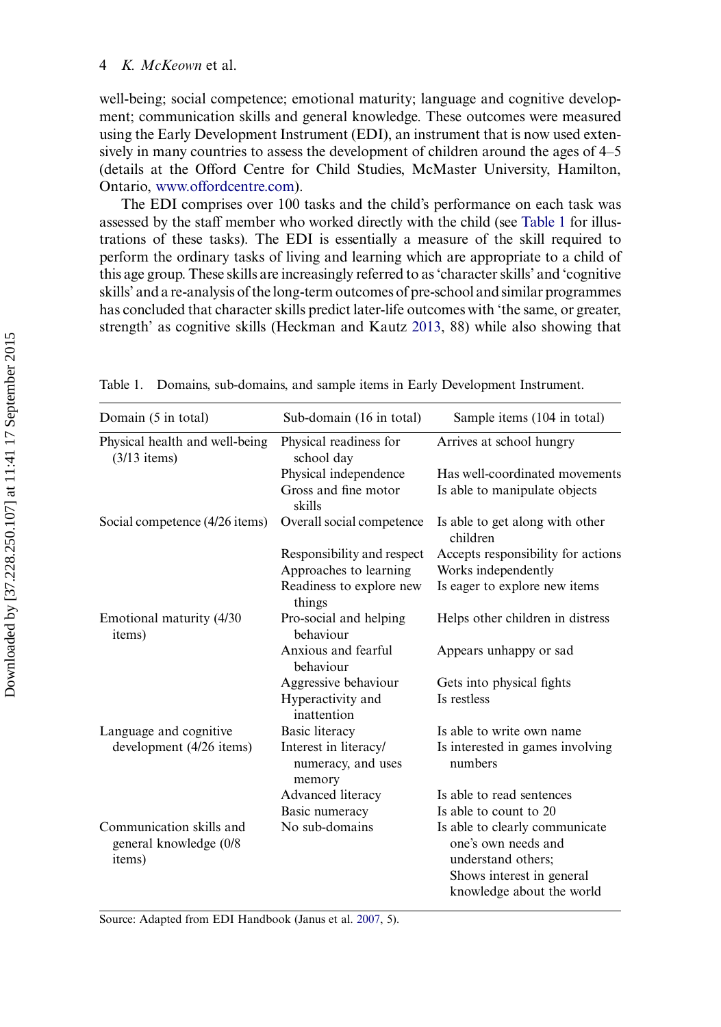well-being; social competence; emotional maturity; language and cognitive development; communication skills and general knowledge. These outcomes were measured using the Early Development Instrument (EDI), an instrument that is now used extensively in many countries to assess the development of children around the ages of 4–5 (details at the Offord Centre for Child Studies, McMaster University, Hamilton, Ontario, [www.offordcentre.com\)](www.offordcentre.com).

The EDI comprises over 100 tasks and the child's performance on each task was assessed by the staff member who worked directly with the child (see Table 1 for illustrations of these tasks). The EDI is essentially a measure of the skill required to perform the ordinary tasks of living and learning which are appropriate to a child of this age group. These skills are increasingly referred to as'character skills' and 'cognitive skills' and a re-analysis of the long-term outcomes of pre-school and similar programmes has concluded that character skills predict later-life outcomes with 'the same, or greater, strength' as cognitive skills (Heckman and Kautz [2013,](#page-17-0) 88) while also showing that

| Domain (5 in total)                                          | Sub-domain (16 in total)                              | Sample items (104 in total)                                                                              |  |  |
|--------------------------------------------------------------|-------------------------------------------------------|----------------------------------------------------------------------------------------------------------|--|--|
| Physical health and well-being<br>$(3/13$ items)             | Physical readiness for<br>school day                  | Arrives at school hungry                                                                                 |  |  |
|                                                              | Physical independence                                 | Has well-coordinated movements                                                                           |  |  |
|                                                              | Gross and fine motor<br>skills                        | Is able to manipulate objects                                                                            |  |  |
| Social competence (4/26 items)                               | Overall social competence                             | Is able to get along with other<br>children                                                              |  |  |
|                                                              | Responsibility and respect                            | Accepts responsibility for actions                                                                       |  |  |
|                                                              | Approaches to learning                                | Works independently                                                                                      |  |  |
|                                                              | Readiness to explore new<br>things                    | Is eager to explore new items                                                                            |  |  |
| Emotional maturity (4/30)<br>items)                          | Pro-social and helping<br>behaviour                   | Helps other children in distress                                                                         |  |  |
|                                                              | Anxious and fearful<br>behaviour                      | Appears unhappy or sad                                                                                   |  |  |
|                                                              | Aggressive behaviour                                  | Gets into physical fights                                                                                |  |  |
|                                                              | Hyperactivity and<br>inattention                      | Is restless                                                                                              |  |  |
| Language and cognitive                                       | <b>Basic literacy</b>                                 | Is able to write own name                                                                                |  |  |
| development (4/26 items)                                     | Interest in literacy/<br>numeracy, and uses<br>memory | Is interested in games involving<br>numbers                                                              |  |  |
|                                                              | Advanced literacy                                     | Is able to read sentences                                                                                |  |  |
|                                                              | Basic numeracy                                        | Is able to count to 20                                                                                   |  |  |
| Communication skills and<br>general knowledge (0/8<br>items) | No sub-domains                                        | Is able to clearly communicate<br>one's own needs and<br>understand others;<br>Shows interest in general |  |  |
|                                                              |                                                       | knowledge about the world                                                                                |  |  |

Table 1. Domains, sub-domains, and sample items in Early Development Instrument.

Source: Adapted from EDI Handbook (Janus et al. [2007](#page-18-0), 5).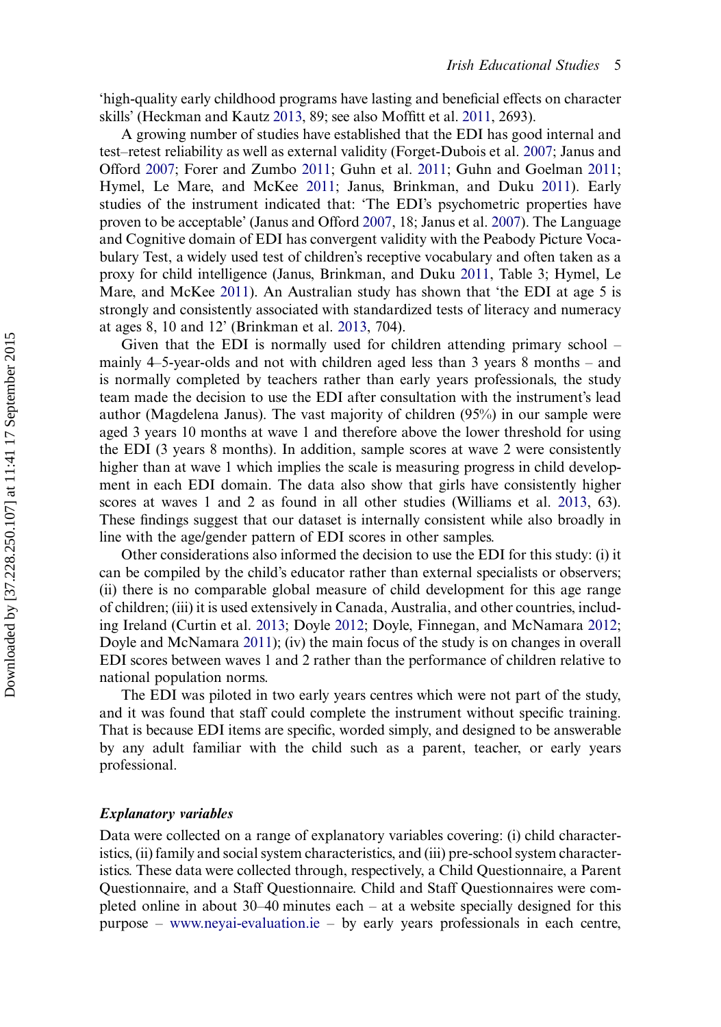'high-quality early childhood programs have lasting and beneficial effects on character skills' (Heckman and Kautz [2013,](#page-17-0) 89; see also Moffitt et al. [2011](#page-19-0), 2693).

A growing number of studies have established that the EDI has good internal and test–retest reliability as well as external validity (Forget-Dubois et al. [2007](#page-17-0); Janus and Offord [2007;](#page-18-0) Forer and Zumbo [2011;](#page-17-0) Guhn et al. [2011;](#page-17-0) Guhn and Goelman [2011](#page-17-0); Hymel, Le Mare, and McKee [2011;](#page-18-0) Janus, Brinkman, and Duku [2011\)](#page-18-0). Early studies of the instrument indicated that: 'The EDI's psychometric properties have proven to be acceptable' (Janus and Offord [2007](#page-18-0), 18; Janus et al. [2007](#page-18-0)). The Language and Cognitive domain of EDI has convergent validity with the Peabody Picture Vocabulary Test, a widely used test of children's receptive vocabulary and often taken as a proxy for child intelligence (Janus, Brinkman, and Duku [2011](#page-18-0), Table 3; Hymel, Le Mare, and McKee [2011\)](#page-18-0). An Australian study has shown that 'the EDI at age 5 is strongly and consistently associated with standardized tests of literacy and numeracy at ages 8, 10 and 12' (Brinkman et al. [2013](#page-16-0), 704).

Given that the EDI is normally used for children attending primary school – mainly 4–5-year-olds and not with children aged less than 3 years 8 months – and is normally completed by teachers rather than early years professionals, the study team made the decision to use the EDI after consultation with the instrument's lead author (Magdelena Janus). The vast majority of children (95%) in our sample were aged 3 years 10 months at wave 1 and therefore above the lower threshold for using the EDI (3 years 8 months). In addition, sample scores at wave 2 were consistently higher than at wave 1 which implies the scale is measuring progress in child development in each EDI domain. The data also show that girls have consistently higher scores at waves 1 and 2 as found in all other studies (Williams et al. [2013,](#page-19-0) 63). These findings suggest that our dataset is internally consistent while also broadly in line with the age/gender pattern of EDI scores in other samples.

Other considerations also informed the decision to use the EDI for this study: (i) it can be compiled by the child's educator rather than external specialists or observers; (ii) there is no comparable global measure of child development for this age range of children; (iii) it is used extensively in Canada, Australia, and other countries, including Ireland (Curtin et al. [2013](#page-17-0); Doyle [2012](#page-17-0); Doyle, Finnegan, and McNamara [2012](#page-17-0); Doyle and McNamara [2011\)](#page-17-0); (iv) the main focus of the study is on changes in overall EDI scores between waves 1 and 2 rather than the performance of children relative to national population norms.

The EDI was piloted in two early years centres which were not part of the study, and it was found that staff could complete the instrument without specific training. That is because EDI items are specific, worded simply, and designed to be answerable by any adult familiar with the child such as a parent, teacher, or early years professional.

#### Explanatory variables

Data were collected on a range of explanatory variables covering: (i) child characteristics, (ii) family and social system characteristics, and (iii) pre-school system characteristics. These data were collected through, respectively, a Child Questionnaire, a Parent Questionnaire, and a Staff Questionnaire. Child and Staff Questionnaires were completed online in about 30–40 minutes each – at a website specially designed for this purpose – [www.neyai-evaluation.ie](http://www.neyai-evaluation.ie) – by early years professionals in each centre,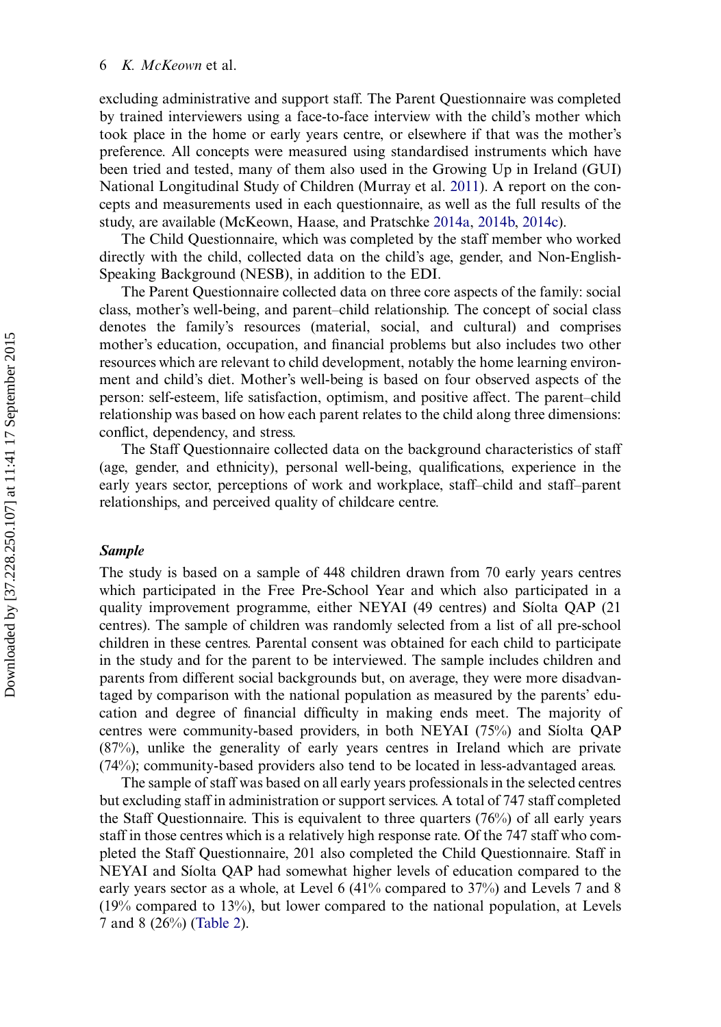# 6 K. McKeown et al.

excluding administrative and support staff. The Parent Questionnaire was completed by trained interviewers using a face-to-face interview with the child's mother which took place in the home or early years centre, or elsewhere if that was the mother's preference. All concepts were measured using standardised instruments which have been tried and tested, many of them also used in the Growing Up in Ireland (GUI) National Longitudinal Study of Children (Murray et al. [2011](#page-19-0)). A report on the concepts and measurements used in each questionnaire, as well as the full results of the study, are available (McKeown, Haase, and Pratschke [2014a,](#page-18-0) [2014b,](#page-18-0) [2014c](#page-18-0)).

The Child Questionnaire, which was completed by the staff member who worked directly with the child, collected data on the child's age, gender, and Non-English-Speaking Background (NESB), in addition to the EDI.

The Parent Questionnaire collected data on three core aspects of the family: social class, mother's well-being, and parent–child relationship. The concept of social class denotes the family's resources (material, social, and cultural) and comprises mother's education, occupation, and financial problems but also includes two other resources which are relevant to child development, notably the home learning environment and child's diet. Mother's well-being is based on four observed aspects of the person: self-esteem, life satisfaction, optimism, and positive affect. The parent–child relationship was based on how each parent relates to the child along three dimensions: conflict, dependency, and stress.

The Staff Questionnaire collected data on the background characteristics of staff (age, gender, and ethnicity), personal well-being, qualifications, experience in the early years sector, perceptions of work and workplace, staff–child and staff–parent relationships, and perceived quality of childcare centre.

#### Sample

The study is based on a sample of 448 children drawn from 70 early years centres which participated in the Free Pre-School Year and which also participated in a quality improvement programme, either NEYAI (49 centres) and Síolta QAP (21 centres). The sample of children was randomly selected from a list of all pre-school children in these centres. Parental consent was obtained for each child to participate in the study and for the parent to be interviewed. The sample includes children and parents from different social backgrounds but, on average, they were more disadvantaged by comparison with the national population as measured by the parents' education and degree of financial difficulty in making ends meet. The majority of centres were community-based providers, in both NEYAI (75%) and Síolta QAP (87%), unlike the generality of early years centres in Ireland which are private (74%); community-based providers also tend to be located in less-advantaged areas.

The sample of staff was based on all early years professionals in the selected centres but excluding staff in administration or support services. A total of 747 staff completed the Staff Questionnaire. This is equivalent to three quarters (76%) of all early years staff in those centres which is a relatively high response rate. Of the 747 staff who completed the Staff Questionnaire, 201 also completed the Child Questionnaire. Staff in NEYAI and Síolta QAP had somewhat higher levels of education compared to the early years sector as a whole, at Level 6 (41% compared to 37%) and Levels 7 and 8 (19% compared to 13%), but lower compared to the national population, at Levels 7 and 8 (26%) ([Table 2\)](#page-7-0).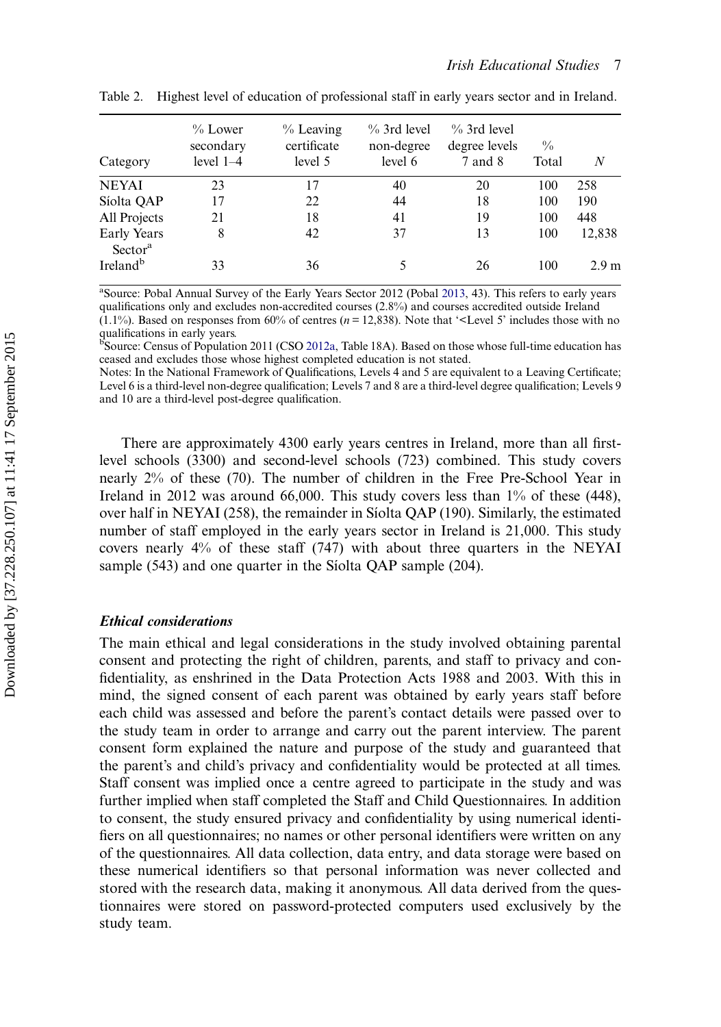| Category                           | $\%$ Lower<br>secondary<br>$level 1-4$ | $%$ Leaving<br>certificate<br>level 5 | $%$ 3rd level<br>non-degree<br>level 6 | $\%$ 3rd level<br>degree levels<br>7 and 8 | $\frac{0}{0}$<br>Total | N                |
|------------------------------------|----------------------------------------|---------------------------------------|----------------------------------------|--------------------------------------------|------------------------|------------------|
| <b>NEYAI</b>                       | 23                                     | 17                                    | 40                                     | 20                                         | 100                    | 258              |
| Síolta QAP                         | 17                                     | 22                                    | 44                                     | 18                                         | 100                    | 190              |
| All Projects                       | 21                                     | 18                                    | 41                                     | 19                                         | 100                    | 448              |
| Early Years<br>Sector <sup>a</sup> | 8                                      | 42                                    | 37                                     | 13                                         | 100                    | 12,838           |
| Ireland <sup>b</sup>               | 33                                     | 36                                    | 5                                      | 26                                         | 100                    | 2.9 <sub>m</sub> |

<span id="page-7-0"></span>Table 2. Highest level of education of professional staff in early years sector and in Ireland.

<sup>a</sup>Source: Pobal Annual Survey of the Early Years Sector 2012 (Pobal [2013](#page-19-0), 43). This refers to early years qualifications only and excludes non-accredited courses (2.8%) and courses accredited outside Ireland

 $(1.1\%)$ . Based on responses from 60% of centres  $(n = 12,838)$ . Note that '<Level 5' includes those with no qualifications in early years.<br><sup>b</sup>Source: Census of Population 2011 (CSO [2012a](#page-17-0), Table 18A). Based on those whose full-time education has

ceased and excludes those whose highest completed education is not stated.

Notes: In the National Framework of Qualifications, Levels 4 and 5 are equivalent to a Leaving Certificate; Level 6 is a third-level non-degree qualification; Levels 7 and 8 are a third-level degree qualification; Levels 9 and 10 are a third-level post-degree qualification.

There are approximately 4300 early years centres in Ireland, more than all firstlevel schools (3300) and second-level schools (723) combined. This study covers nearly 2% of these (70). The number of children in the Free Pre-School Year in Ireland in 2012 was around 66,000. This study covers less than 1% of these (448), over half in NEYAI (258), the remainder in Síolta QAP (190). Similarly, the estimated number of staff employed in the early years sector in Ireland is 21,000. This study covers nearly 4% of these staff (747) with about three quarters in the NEYAI sample (543) and one quarter in the Síolta QAP sample (204).

# Ethical considerations

The main ethical and legal considerations in the study involved obtaining parental consent and protecting the right of children, parents, and staff to privacy and confidentiality, as enshrined in the Data Protection Acts 1988 and 2003. With this in mind, the signed consent of each parent was obtained by early years staff before each child was assessed and before the parent's contact details were passed over to the study team in order to arrange and carry out the parent interview. The parent consent form explained the nature and purpose of the study and guaranteed that the parent's and child's privacy and confidentiality would be protected at all times. Staff consent was implied once a centre agreed to participate in the study and was further implied when staff completed the Staff and Child Questionnaires. In addition to consent, the study ensured privacy and confidentiality by using numerical identifiers on all questionnaires; no names or other personal identifiers were written on any of the questionnaires. All data collection, data entry, and data storage were based on these numerical identifiers so that personal information was never collected and stored with the research data, making it anonymous. All data derived from the questionnaires were stored on password-protected computers used exclusively by the study team.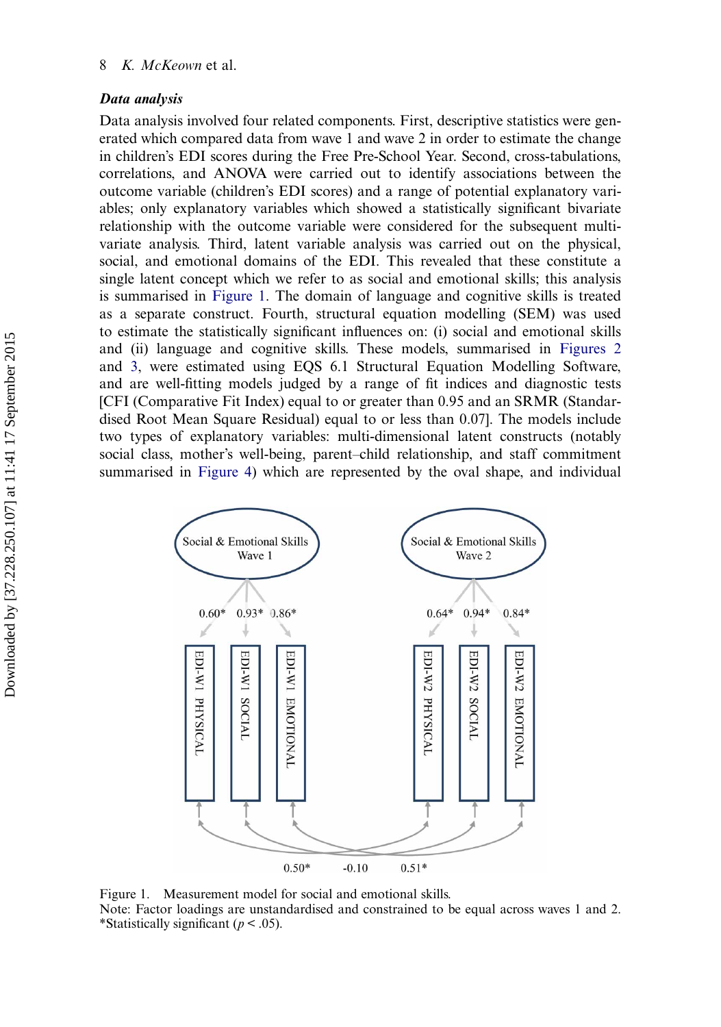#### 8 K. McKeown et al.

#### Data analysis

Data analysis involved four related components. First, descriptive statistics were generated which compared data from wave 1 and wave 2 in order to estimate the change in children's EDI scores during the Free Pre-School Year. Second, cross-tabulations, correlations, and ANOVA were carried out to identify associations between the outcome variable (children's EDI scores) and a range of potential explanatory variables; only explanatory variables which showed a statistically significant bivariate relationship with the outcome variable were considered for the subsequent multivariate analysis. Third, latent variable analysis was carried out on the physical, social, and emotional domains of the EDI. This revealed that these constitute a single latent concept which we refer to as social and emotional skills; this analysis is summarised in Figure 1. The domain of language and cognitive skills is treated as a separate construct. Fourth, structural equation modelling (SEM) was used to estimate the statistically significant influences on: (i) social and emotional skills and (ii) language and cognitive skills. These models, summarised in [Figures 2](#page-9-0) and [3](#page-9-0), were estimated using EQS 6.1 Structural Equation Modelling Software, and are well-fitting models judged by a range of fit indices and diagnostic tests [CFI (Comparative Fit Index) equal to or greater than 0.95 and an SRMR (Standardised Root Mean Square Residual) equal to or less than 0.07]. The models include two types of explanatory variables: multi-dimensional latent constructs (notably social class, mother's well-being, parent–child relationship, and staff commitment summarised in [Figure 4](#page-10-0)) which are represented by the oval shape, and individual



Figure 1. Measurement model for social and emotional skills. Note: Factor loadings are unstandardised and constrained to be equal across waves 1 and 2. \*Statistically significant ( $p < .05$ ).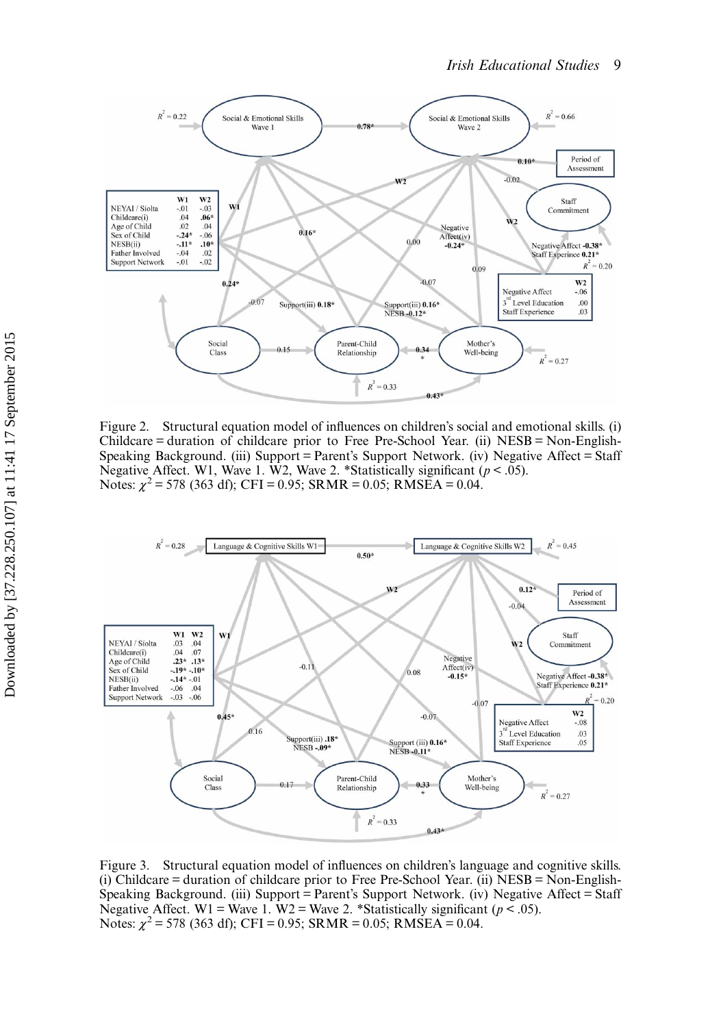<span id="page-9-0"></span>

Figure 2. Structural equation model of influences on children's social and emotional skills. (i) Childcare = duration of childcare prior to Free Pre-School Year. (ii) NESB = Non-English-Speaking Background. (iii) Support = Parent's Support Network. (iv) Negative Affect = Staff Negative Affect. W1, Wave 1. W2, Wave 2. \*Statistically significant ( $p < .05$ ). Notes:  $\chi^2$  = 578 (363 df); CFI = 0.95; SRMR = 0.05; RMSEA = 0.04.



Figure 3. Structural equation model of influences on children's language and cognitive skills. (i) Childcare = duration of childcare prior to Free Pre-School Year. (ii) NESB = Non-English-Speaking Background. (iii) Support = Parent's Support Network. (iv) Negative Affect = Staff Negative Affect. W1 = Wave 1. W2 = Wave 2. \*Statistically significant ( $p < .05$ ). Notes:  $\chi^2$  = 578 (363 df); CFI = 0.95; SRMR = 0.05; RMSEA = 0.04.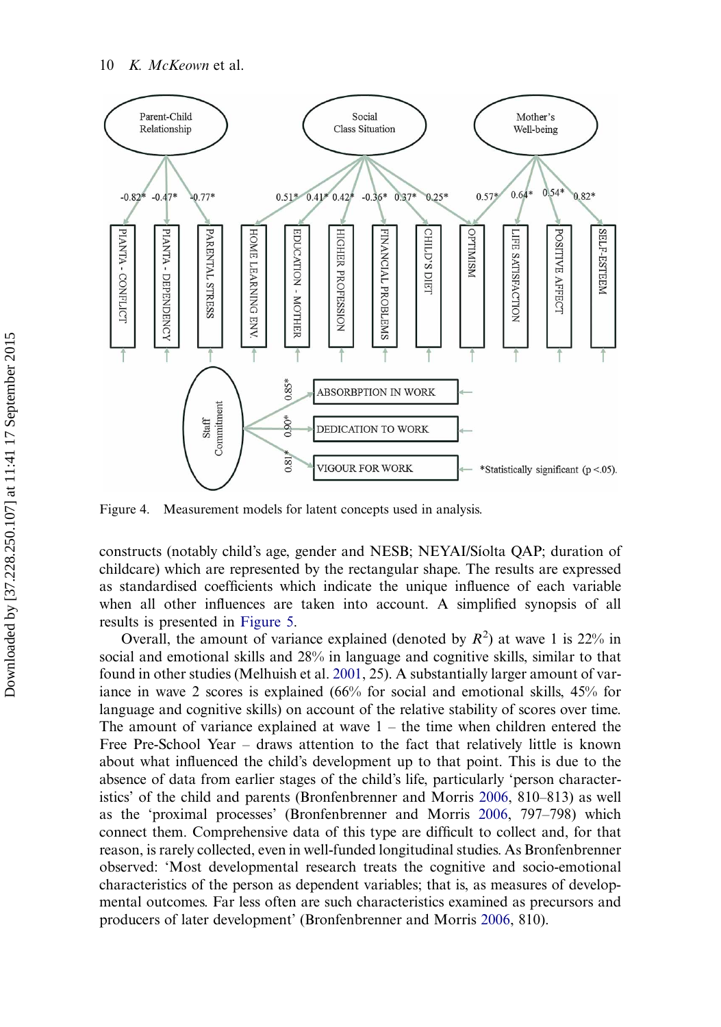<span id="page-10-0"></span>

Figure 4. Measurement models for latent concepts used in analysis.

constructs (notably child's age, gender and NESB; NEYAI/Síolta QAP; duration of childcare) which are represented by the rectangular shape. The results are expressed as standardised coefficients which indicate the unique influence of each variable when all other influences are taken into account. A simplified synopsis of all results is presented in [Figure 5.](#page-11-0)

Overall, the amount of variance explained (denoted by  $R^2$ ) at wave 1 is 22% in social and emotional skills and 28% in language and cognitive skills, similar to that found in other studies (Melhuish et al. [2001,](#page-18-0) 25). A substantially larger amount of variance in wave 2 scores is explained (66% for social and emotional skills, 45% for language and cognitive skills) on account of the relative stability of scores over time. The amount of variance explained at wave  $1 -$  the time when children entered the Free Pre-School Year – draws attention to the fact that relatively little is known about what influenced the child's development up to that point. This is due to the absence of data from earlier stages of the child's life, particularly 'person characteristics' of the child and parents (Bronfenbrenner and Morris [2006,](#page-16-0) 810–813) as well as the 'proximal processes' (Bronfenbrenner and Morris [2006,](#page-16-0) 797–798) which connect them. Comprehensive data of this type are difficult to collect and, for that reason, is rarely collected, even in well-funded longitudinal studies. As Bronfenbrenner observed: 'Most developmental research treats the cognitive and socio-emotional characteristics of the person as dependent variables; that is, as measures of developmental outcomes. Far less often are such characteristics examined as precursors and producers of later development' (Bronfenbrenner and Morris [2006](#page-16-0), 810).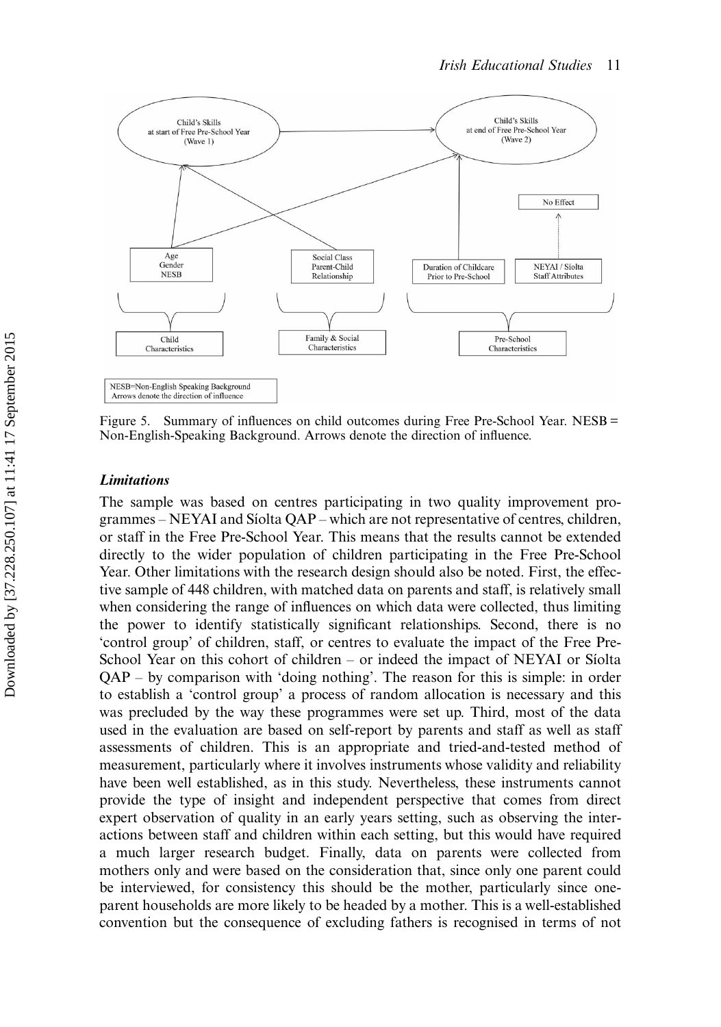<span id="page-11-0"></span>

Figure 5. Summary of influences on child outcomes during Free Pre-School Year. NESB = Non-English-Speaking Background. Arrows denote the direction of influence.

# Limitations

The sample was based on centres participating in two quality improvement programmes – NEYAI and Síolta QAP – which are not representative of centres, children, or staff in the Free Pre-School Year. This means that the results cannot be extended directly to the wider population of children participating in the Free Pre-School Year. Other limitations with the research design should also be noted. First, the effective sample of 448 children, with matched data on parents and staff, is relatively small when considering the range of influences on which data were collected, thus limiting the power to identify statistically significant relationships. Second, there is no 'control group' of children, staff, or centres to evaluate the impact of the Free Pre-School Year on this cohort of children – or indeed the impact of NEYAI or Síolta QAP – by comparison with 'doing nothing'. The reason for this is simple: in order to establish a 'control group' a process of random allocation is necessary and this was precluded by the way these programmes were set up. Third, most of the data used in the evaluation are based on self-report by parents and staff as well as staff assessments of children. This is an appropriate and tried-and-tested method of measurement, particularly where it involves instruments whose validity and reliability have been well established, as in this study. Nevertheless, these instruments cannot provide the type of insight and independent perspective that comes from direct expert observation of quality in an early years setting, such as observing the interactions between staff and children within each setting, but this would have required a much larger research budget. Finally, data on parents were collected from mothers only and were based on the consideration that, since only one parent could be interviewed, for consistency this should be the mother, particularly since oneparent households are more likely to be headed by a mother. This is a well-established convention but the consequence of excluding fathers is recognised in terms of not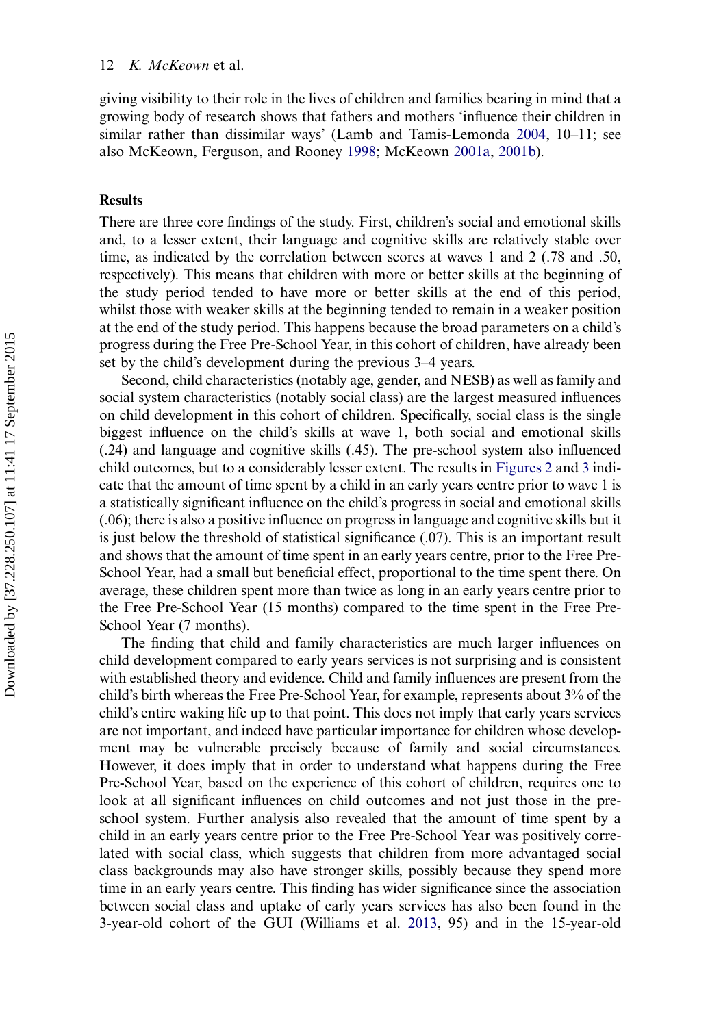giving visibility to their role in the lives of children and families bearing in mind that a growing body of research shows that fathers and mothers 'influence their children in similar rather than dissimilar ways' (Lamb and Tamis-Lemonda [2004,](#page-18-0) 10–11; see also McKeown, Ferguson, and Rooney [1998](#page-18-0); McKeown [2001a,](#page-18-0) [2001b\)](#page-18-0).

# **Results**

There are three core findings of the study. First, children's social and emotional skills and, to a lesser extent, their language and cognitive skills are relatively stable over time, as indicated by the correlation between scores at waves 1 and 2 (.78 and .50, respectively). This means that children with more or better skills at the beginning of the study period tended to have more or better skills at the end of this period, whilst those with weaker skills at the beginning tended to remain in a weaker position at the end of the study period. This happens because the broad parameters on a child's progress during the Free Pre-School Year, in this cohort of children, have already been set by the child's development during the previous 3–4 years.

Second, child characteristics (notably age, gender, and NESB) as well as family and social system characteristics (notably social class) are the largest measured influences on child development in this cohort of children. Specifically, social class is the single biggest influence on the child's skills at wave 1, both social and emotional skills (.24) and language and cognitive skills (.45). The pre-school system also influenced child outcomes, but to a considerably lesser extent. The results in [Figures 2](#page-9-0) and [3](#page-9-0) indicate that the amount of time spent by a child in an early years centre prior to wave 1 is a statistically significant influence on the child's progress in social and emotional skills (.06); there is also a positive influence on progress in language and cognitive skills but it is just below the threshold of statistical significance (.07). This is an important result and shows that the amount of time spent in an early years centre, prior to the Free Pre-School Year, had a small but beneficial effect, proportional to the time spent there. On average, these children spent more than twice as long in an early years centre prior to the Free Pre-School Year (15 months) compared to the time spent in the Free Pre-School Year (7 months).

The finding that child and family characteristics are much larger influences on child development compared to early years services is not surprising and is consistent with established theory and evidence. Child and family influences are present from the child's birth whereas the Free Pre-School Year, for example, represents about 3% of the child's entire waking life up to that point. This does not imply that early years services are not important, and indeed have particular importance for children whose development may be vulnerable precisely because of family and social circumstances. However, it does imply that in order to understand what happens during the Free Pre-School Year, based on the experience of this cohort of children, requires one to look at all significant influences on child outcomes and not just those in the preschool system. Further analysis also revealed that the amount of time spent by a child in an early years centre prior to the Free Pre-School Year was positively correlated with social class, which suggests that children from more advantaged social class backgrounds may also have stronger skills, possibly because they spend more time in an early years centre. This finding has wider significance since the association between social class and uptake of early years services has also been found in the 3-year-old cohort of the GUI (Williams et al. [2013](#page-19-0), 95) and in the 15-year-old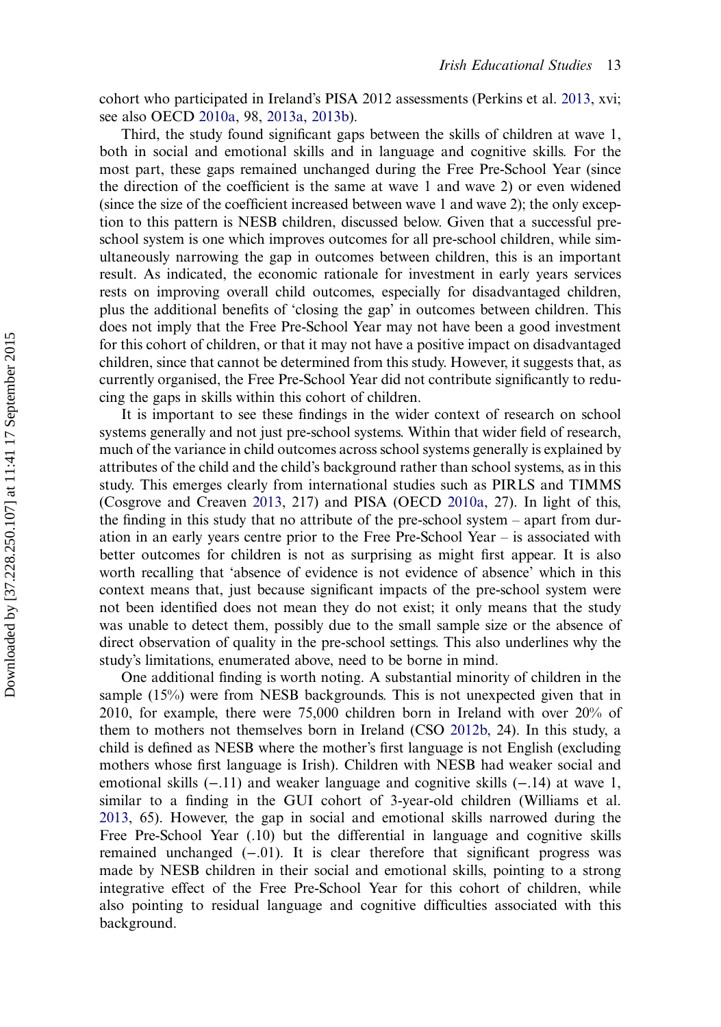cohort who participated in Ireland's PISA 2012 assessments (Perkins et al. [2013](#page-19-0), xvi; see also OECD [2010a](#page-19-0), 98, [2013a,](#page-19-0) [2013b\)](#page-19-0).

Third, the study found significant gaps between the skills of children at wave 1, both in social and emotional skills and in language and cognitive skills. For the most part, these gaps remained unchanged during the Free Pre-School Year (since the direction of the coefficient is the same at wave 1 and wave 2) or even widened (since the size of the coefficient increased between wave 1 and wave 2); the only exception to this pattern is NESB children, discussed below. Given that a successful preschool system is one which improves outcomes for all pre-school children, while simultaneously narrowing the gap in outcomes between children, this is an important result. As indicated, the economic rationale for investment in early years services rests on improving overall child outcomes, especially for disadvantaged children, plus the additional benefits of 'closing the gap' in outcomes between children. This does not imply that the Free Pre-School Year may not have been a good investment for this cohort of children, or that it may not have a positive impact on disadvantaged children, since that cannot be determined from this study. However, it suggests that, as currently organised, the Free Pre-School Year did not contribute significantly to reducing the gaps in skills within this cohort of children.

It is important to see these findings in the wider context of research on school systems generally and not just pre-school systems. Within that wider field of research, much of the variance in child outcomes across school systems generally is explained by attributes of the child and the child's background rather than school systems, as in this study. This emerges clearly from international studies such as PIRLS and TIMMS (Cosgrove and Creaven [2013,](#page-17-0) 217) and PISA (OECD [2010a](#page-19-0), 27). In light of this, the finding in this study that no attribute of the pre-school system – apart from duration in an early years centre prior to the Free Pre-School Year – is associated with better outcomes for children is not as surprising as might first appear. It is also worth recalling that 'absence of evidence is not evidence of absence' which in this context means that, just because significant impacts of the pre-school system were not been identified does not mean they do not exist; it only means that the study was unable to detect them, possibly due to the small sample size or the absence of direct observation of quality in the pre-school settings. This also underlines why the study's limitations, enumerated above, need to be borne in mind.

One additional finding is worth noting. A substantial minority of children in the sample (15%) were from NESB backgrounds. This is not unexpected given that in 2010, for example, there were 75,000 children born in Ireland with over 20% of them to mothers not themselves born in Ireland (CSO [2012b,](#page-17-0) 24). In this study, a child is defined as NESB where the mother's first language is not English (excluding mothers whose first language is Irish). Children with NESB had weaker social and emotional skills (−.11) and weaker language and cognitive skills (−.14) at wave 1, similar to a finding in the GUI cohort of 3-year-old children (Williams et al. [2013](#page-19-0), 65). However, the gap in social and emotional skills narrowed during the Free Pre-School Year (.10) but the differential in language and cognitive skills remained unchanged (−.01). It is clear therefore that significant progress was made by NESB children in their social and emotional skills, pointing to a strong integrative effect of the Free Pre-School Year for this cohort of children, while also pointing to residual language and cognitive difficulties associated with this background.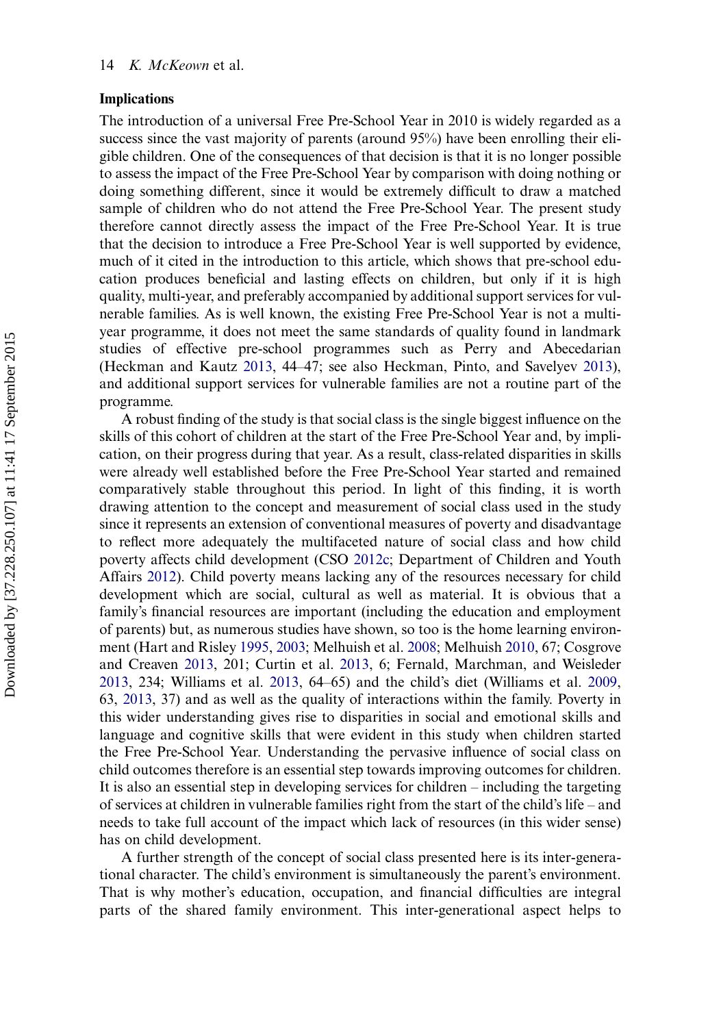### Implications

The introduction of a universal Free Pre-School Year in 2010 is widely regarded as a success since the vast majority of parents (around 95%) have been enrolling their eligible children. One of the consequences of that decision is that it is no longer possible to assess the impact of the Free Pre-School Year by comparison with doing nothing or doing something different, since it would be extremely difficult to draw a matched sample of children who do not attend the Free Pre-School Year. The present study therefore cannot directly assess the impact of the Free Pre-School Year. It is true that the decision to introduce a Free Pre-School Year is well supported by evidence, much of it cited in the introduction to this article, which shows that pre-school education produces beneficial and lasting effects on children, but only if it is high quality, multi-year, and preferably accompanied by additional support services for vulnerable families. As is well known, the existing Free Pre-School Year is not a multiyear programme, it does not meet the same standards of quality found in landmark studies of effective pre-school programmes such as Perry and Abecedarian (Heckman and Kautz [2013,](#page-17-0) 44–47; see also Heckman, Pinto, and Savelyev [2013](#page-17-0)), and additional support services for vulnerable families are not a routine part of the programme.

A robust finding of the study is that social class is the single biggest influence on the skills of this cohort of children at the start of the Free Pre-School Year and, by implication, on their progress during that year. As a result, class-related disparities in skills were already well established before the Free Pre-School Year started and remained comparatively stable throughout this period. In light of this finding, it is worth drawing attention to the concept and measurement of social class used in the study since it represents an extension of conventional measures of poverty and disadvantage to reflect more adequately the multifaceted nature of social class and how child poverty affects child development (CSO [2012c;](#page-17-0) Department of Children and Youth Affairs [2012\)](#page-17-0). Child poverty means lacking any of the resources necessary for child development which are social, cultural as well as material. It is obvious that a family's financial resources are important (including the education and employment of parents) but, as numerous studies have shown, so too is the home learning environment (Hart and Risley [1995](#page-17-0), [2003](#page-17-0); Melhuish et al. [2008;](#page-18-0) Melhuish [2010,](#page-18-0) 67; Cosgrove and Creaven [2013](#page-17-0), 201; Curtin et al. [2013,](#page-17-0) 6; Fernald, Marchman, and Weisleder [2013](#page-17-0), 234; Williams et al. [2013,](#page-19-0) 64–65) and the child's diet (Williams et al. [2009](#page-19-0), 63, [2013](#page-19-0), 37) and as well as the quality of interactions within the family. Poverty in this wider understanding gives rise to disparities in social and emotional skills and language and cognitive skills that were evident in this study when children started the Free Pre-School Year. Understanding the pervasive influence of social class on child outcomes therefore is an essential step towards improving outcomes for children. It is also an essential step in developing services for children – including the targeting of services at children in vulnerable families right from the start of the child's life – and needs to take full account of the impact which lack of resources (in this wider sense) has on child development.

A further strength of the concept of social class presented here is its inter-generational character. The child's environment is simultaneously the parent's environment. That is why mother's education, occupation, and financial difficulties are integral parts of the shared family environment. This inter-generational aspect helps to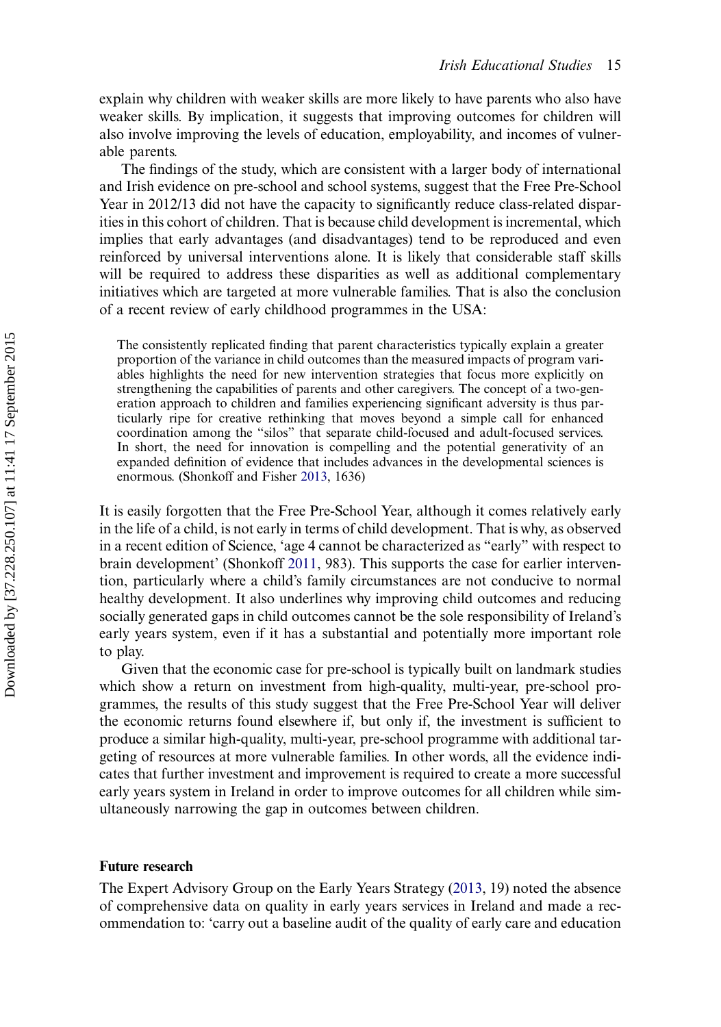explain why children with weaker skills are more likely to have parents who also have weaker skills. By implication, it suggests that improving outcomes for children will also involve improving the levels of education, employability, and incomes of vulnerable parents.

The findings of the study, which are consistent with a larger body of international and Irish evidence on pre-school and school systems, suggest that the Free Pre-School Year in 2012/13 did not have the capacity to significantly reduce class-related disparities in this cohort of children. That is because child development is incremental, which implies that early advantages (and disadvantages) tend to be reproduced and even reinforced by universal interventions alone. It is likely that considerable staff skills will be required to address these disparities as well as additional complementary initiatives which are targeted at more vulnerable families. That is also the conclusion of a recent review of early childhood programmes in the USA:

The consistently replicated finding that parent characteristics typically explain a greater proportion of the variance in child outcomes than the measured impacts of program variables highlights the need for new intervention strategies that focus more explicitly on strengthening the capabilities of parents and other caregivers. The concept of a two-generation approach to children and families experiencing significant adversity is thus particularly ripe for creative rethinking that moves beyond a simple call for enhanced coordination among the "silos" that separate child-focused and adult-focused services. In short, the need for innovation is compelling and the potential generativity of an expanded definition of evidence that includes advances in the developmental sciences is enormous. (Shonkoff and Fisher [2013,](#page-19-0) 1636)

It is easily forgotten that the Free Pre-School Year, although it comes relatively early in the life of a child, is not early in terms of child development. That is why, as observed in a recent edition of Science, 'age 4 cannot be characterized as "early" with respect to brain development' (Shonkoff [2011](#page-19-0), 983). This supports the case for earlier intervention, particularly where a child's family circumstances are not conducive to normal healthy development. It also underlines why improving child outcomes and reducing socially generated gaps in child outcomes cannot be the sole responsibility of Ireland's early years system, even if it has a substantial and potentially more important role to play.

Given that the economic case for pre-school is typically built on landmark studies which show a return on investment from high-quality, multi-year, pre-school programmes, the results of this study suggest that the Free Pre-School Year will deliver the economic returns found elsewhere if, but only if, the investment is sufficient to produce a similar high-quality, multi-year, pre-school programme with additional targeting of resources at more vulnerable families. In other words, all the evidence indicates that further investment and improvement is required to create a more successful early years system in Ireland in order to improve outcomes for all children while simultaneously narrowing the gap in outcomes between children.

#### Future research

The Expert Advisory Group on the Early Years Strategy [\(2013](#page-17-0), 19) noted the absence of comprehensive data on quality in early years services in Ireland and made a recommendation to: 'carry out a baseline audit of the quality of early care and education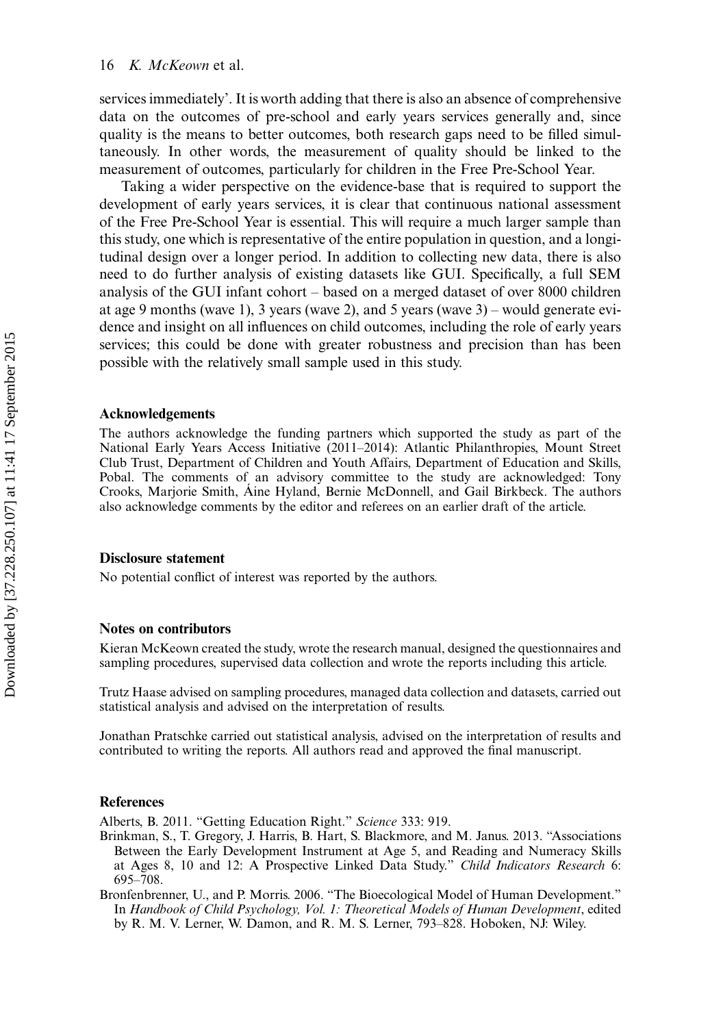<span id="page-16-0"></span>services immediately'. It is worth adding that there is also an absence of comprehensive data on the outcomes of pre-school and early years services generally and, since quality is the means to better outcomes, both research gaps need to be filled simultaneously. In other words, the measurement of quality should be linked to the measurement of outcomes, particularly for children in the Free Pre-School Year.

Taking a wider perspective on the evidence-base that is required to support the development of early years services, it is clear that continuous national assessment of the Free Pre-School Year is essential. This will require a much larger sample than this study, one which is representative of the entire population in question, and a longitudinal design over a longer period. In addition to collecting new data, there is also need to do further analysis of existing datasets like GUI. Specifically, a full SEM analysis of the GUI infant cohort – based on a merged dataset of over 8000 children at age 9 months (wave 1), 3 years (wave 2), and 5 years (wave 3) – would generate evidence and insight on all influences on child outcomes, including the role of early years services; this could be done with greater robustness and precision than has been possible with the relatively small sample used in this study.

#### Acknowledgements

The authors acknowledge the funding partners which supported the study as part of the National Early Years Access Initiative (2011–2014): Atlantic Philanthropies, Mount Street Club Trust, Department of Children and Youth Affairs, Department of Education and Skills, Pobal. The comments of an advisory committee to the study are acknowledged: Tony Crooks, Marjorie Smith, Áine Hyland, Bernie McDonnell, and Gail Birkbeck. The authors also acknowledge comments by the editor and referees on an earlier draft of the article.

# Disclosure statement

No potential conflict of interest was reported by the authors.

### Notes on contributors

Kieran McKeown created the study, wrote the research manual, designed the questionnaires and sampling procedures, supervised data collection and wrote the reports including this article.

Trutz Haase advised on sampling procedures, managed data collection and datasets, carried out statistical analysis and advised on the interpretation of results.

Jonathan Pratschke carried out statistical analysis, advised on the interpretation of results and contributed to writing the reports. All authors read and approved the final manuscript.

### **References**

Alberts, B. 2011. "Getting Education Right." Science 333: 919.

Brinkman, S., T. Gregory, J. Harris, B. Hart, S. Blackmore, and M. Janus. 2013. "Associations Between the Early Development Instrument at Age 5, and Reading and Numeracy Skills at Ages 8, 10 and 12: A Prospective Linked Data Study." Child Indicators Research 6: 695–708.

Bronfenbrenner, U., and P. Morris. 2006. "The Bioecological Model of Human Development." In Handbook of Child Psychology, Vol. 1: Theoretical Models of Human Development, edited by R. M. V. Lerner, W. Damon, and R. M. S. Lerner, 793–828. Hoboken, NJ: Wiley.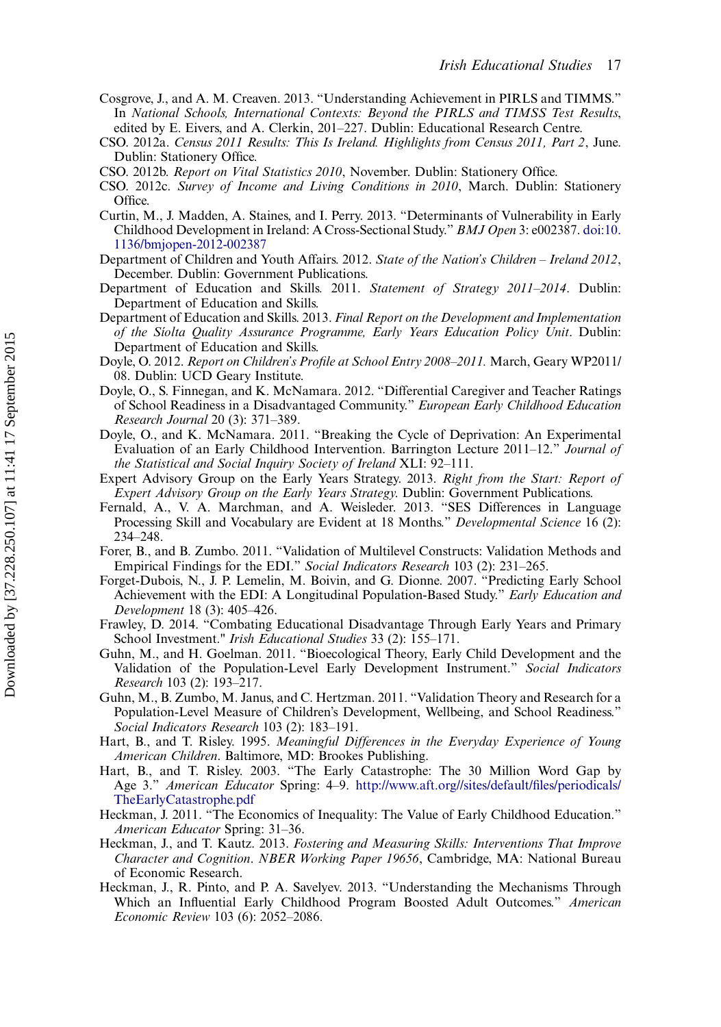- <span id="page-17-0"></span>Cosgrove, J., and A. M. Creaven. 2013. "Understanding Achievement in PIRLS and TIMMS." In National Schools, International Contexts: Beyond the PIRLS and TIMSS Test Results, edited by E. Eivers, and A. Clerkin, 201–227. Dublin: Educational Research Centre.
- CSO. 2012a. Census 2011 Results: This Is Ireland. Highlights from Census 2011, Part 2, June. Dublin: Stationery Office.
- CSO. 2012b. Report on Vital Statistics 2010, November. Dublin: Stationery Office.
- CSO. 2012c. Survey of Income and Living Conditions in 2010, March. Dublin: Stationery Office.
- Curtin, M., J. Madden, A. Staines, and I. Perry. 2013. "Determinants of Vulnerability in Early Childhood Development in Ireland: A Cross-Sectional Study." BMJ Open 3: e002387. [doi:10.](http://dx.doi.org/10.1136/bmjopen-2012-002387) [1136/bmjopen-2012-002387](http://dx.doi.org/10.1136/bmjopen-2012-002387)
- Department of Children and Youth Affairs. 2012. State of the Nation's Children Ireland 2012, December. Dublin: Government Publications.
- Department of Education and Skills. 2011. Statement of Strategy 2011–2014. Dublin: Department of Education and Skills.
- Department of Education and Skills. 2013. Final Report on the Development and Implementation of the Síolta Quality Assurance Programme, Early Years Education Policy Unit. Dublin: Department of Education and Skills.
- Doyle, O. 2012. Report on Children's Profile at School Entry 2008–2011. March, Geary WP2011/ 08. Dublin: UCD Geary Institute.
- Doyle, O., S. Finnegan, and K. McNamara. 2012. "Differential Caregiver and Teacher Ratings of School Readiness in a Disadvantaged Community." European Early Childhood Education Research Journal 20 (3): 371–389.
- Doyle, O., and K. McNamara. 2011. "Breaking the Cycle of Deprivation: An Experimental Evaluation of an Early Childhood Intervention. Barrington Lecture 2011–12." Journal of the Statistical and Social Inquiry Society of Ireland XLI: 92–111.
- Expert Advisory Group on the Early Years Strategy. 2013. Right from the Start: Report of Expert Advisory Group on the Early Years Strategy. Dublin: Government Publications.
- Fernald, A., V. A. Marchman, and A. Weisleder. 2013. "SES Differences in Language Processing Skill and Vocabulary are Evident at 18 Months." Developmental Science 16 (2): 234–248.
- Forer, B., and B. Zumbo. 2011. "Validation of Multilevel Constructs: Validation Methods and Empirical Findings for the EDI." Social Indicators Research 103 (2): 231–265.
- Forget-Dubois, N., J. P. Lemelin, M. Boivin, and G. Dionne. 2007. "Predicting Early School Achievement with the EDI: A Longitudinal Population-Based Study." Early Education and Development 18 (3): 405–426.
- Frawley, D. 2014. "Combating Educational Disadvantage Through Early Years and Primary School Investment." Irish Educational Studies 33 (2): 155–171.
- Guhn, M., and H. Goelman. 2011. "Bioecological Theory, Early Child Development and the Validation of the Population-Level Early Development Instrument." Social Indicators Research 103 (2): 193–217.
- Guhn, M., B. Zumbo, M. Janus, and C. Hertzman. 2011. "Validation Theory and Research for a Population-Level Measure of Children's Development, Wellbeing, and School Readiness." Social Indicators Research 103 (2): 183–191.
- Hart, B., and T. Risley. 1995. Meaningful Differences in the Everyday Experience of Young American Children. Baltimore, MD: Brookes Publishing.
- Hart, B., and T. Risley. 2003. "The Early Catastrophe: The 30 Million Word Gap by Age 3." American Educator Spring: 4–9. [http://www.aft.org//sites/default/](http://www.aft.org//sites/default/files/periodicals/TheEarlyCatastrophe.pdf)files/periodicals/ [TheEarlyCatastrophe.pdf](http://www.aft.org//sites/default/files/periodicals/TheEarlyCatastrophe.pdf)
- Heckman, J. 2011. "The Economics of Inequality: The Value of Early Childhood Education." American Educator Spring: 31–36.
- Heckman, J., and T. Kautz. 2013. Fostering and Measuring Skills: Interventions That Improve Character and Cognition. NBER Working Paper 19656, Cambridge, MA: National Bureau of Economic Research.
- Heckman, J., R. Pinto, and P. A. Savelyev. 2013. "Understanding the Mechanisms Through Which an Influential Early Childhood Program Boosted Adult Outcomes." American Economic Review 103 (6): 2052–2086.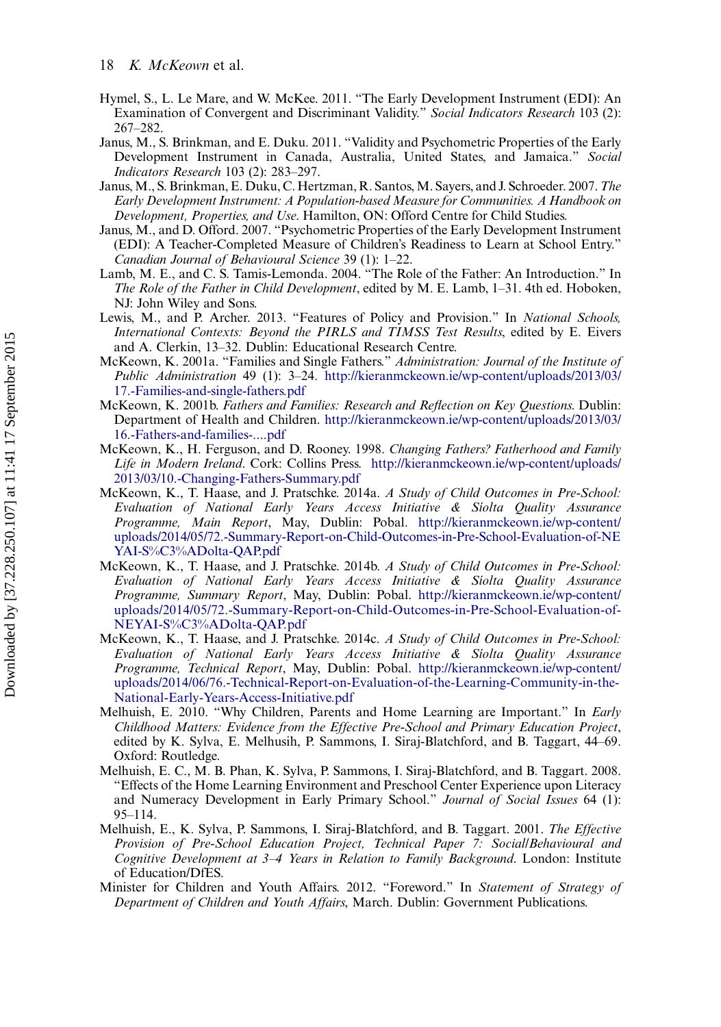- <span id="page-18-0"></span>18 K. McKeown et al.
- Hymel, S., L. Le Mare, and W. McKee. 2011. "The Early Development Instrument (EDI): An Examination of Convergent and Discriminant Validity." Social Indicators Research 103 (2): 267–282.
- Janus, M., S. Brinkman, and E. Duku. 2011. "Validity and Psychometric Properties of the Early Development Instrument in Canada, Australia, United States, and Jamaica." Social Indicators Research 103 (2): 283–297.
- Janus, M., S. Brinkman, E. Duku, C. Hertzman, R. Santos, M. Sayers, and J. Schroeder. 2007. The Early Development Instrument: A Population-based Measure for Communities. A Handbook on Development, Properties, and Use. Hamilton, ON: Offord Centre for Child Studies.
- Janus, M., and D. Offord. 2007. "Psychometric Properties of the Early Development Instrument (EDI): A Teacher-Completed Measure of Children's Readiness to Learn at School Entry." Canadian Journal of Behavioural Science 39 (1): 1–22.
- Lamb, M. E., and C. S. Tamis-Lemonda. 2004. "The Role of the Father: An Introduction." In The Role of the Father in Child Development, edited by M. E. Lamb, 1-31. 4th ed. Hoboken, NJ: John Wiley and Sons.
- Lewis, M., and P. Archer. 2013. "Features of Policy and Provision." In National Schools, International Contexts: Beyond the PIRLS and TIMSS Test Results, edited by E. Eivers and A. Clerkin, 13–32. Dublin: Educational Research Centre.
- McKeown, K. 2001a. "Families and Single Fathers." Administration: Journal of the Institute of Public Administration 49 (1): 3–24. [http://kieranmckeown.ie/wp-content/uploads/2013/03/](http://kieranmckeown.ie/wp-content/uploads/2013/03/17.-Families-and-single-fathers.pdf) [17.-Families-and-single-fathers.pdf](http://kieranmckeown.ie/wp-content/uploads/2013/03/17.-Families-and-single-fathers.pdf)
- McKeown, K. 2001b. Fathers and Families: Research and Reflection on Key Questions. Dublin: Department of Health and Children. [http://kieranmckeown.ie/wp-content/uploads/2013/03/](http://kieranmckeown.ie/wp-content/uploads/2013/03/16.-Fathers-and-families-....pdf) [16.-Fathers-and-families-....pdf](http://kieranmckeown.ie/wp-content/uploads/2013/03/16.-Fathers-and-families-....pdf)
- McKeown, K., H. Ferguson, and D. Rooney. 1998. Changing Fathers? Fatherhood and Family Life in Modern Ireland. Cork: Collins Press. [http://kieranmckeown.ie/wp-content/uploads/](http://kieranmckeown.ie/wp-content/uploads/2013/03/10.-Changing-Fathers-Summary.pdf) [2013/03/10.-Changing-Fathers-Summary.pdf](http://kieranmckeown.ie/wp-content/uploads/2013/03/10.-Changing-Fathers-Summary.pdf)
- McKeown, K., T. Haase, and J. Pratschke. 2014a. A Study of Child Outcomes in Pre-School: Evaluation of National Early Years Access Initiative & Síolta Quality Assurance Programme, Main Report, May, Dublin: Pobal. [http://kieranmckeown.ie/wp-content/](http://kieranmckeown.ie/wp-content/uploads/2014/05/72.-Summary-Report-on-Child-Outcomes-in-Pre-School-Evaluation-of-NEYAI-S%C3%ADolta-QAP.pdf) [uploads/2014/05/72.-Summary-Report-on-Child-Outcomes-in-Pre-School-Evaluation-of-NE](http://kieranmckeown.ie/wp-content/uploads/2014/05/72.-Summary-Report-on-Child-Outcomes-in-Pre-School-Evaluation-of-NEYAI-S%C3%ADolta-QAP.pdf) [YAI-S%C3%ADolta-QAP.pdf](http://kieranmckeown.ie/wp-content/uploads/2014/05/72.-Summary-Report-on-Child-Outcomes-in-Pre-School-Evaluation-of-NEYAI-S%C3%ADolta-QAP.pdf)
- McKeown, K., T. Haase, and J. Pratschke. 2014b. A Study of Child Outcomes in Pre-School: Evaluation of National Early Years Access Initiative & Síolta Quality Assurance Programme, Summary Report, May, Dublin: Pobal. [http://kieranmckeown.ie/wp-content/](http://kieranmckeown.ie/wp-content/uploads/2014/05/72.-Summary-Report-on-Child-Outcomes-in-Pre-School-Evaluation-of-NEYAI-S%C3%ADolta-QAP.pdf) [uploads/2014/05/72.-Summary-Report-on-Child-Outcomes-in-Pre-School-Evaluation-of-](http://kieranmckeown.ie/wp-content/uploads/2014/05/72.-Summary-Report-on-Child-Outcomes-in-Pre-School-Evaluation-of-NEYAI-S%C3%ADolta-QAP.pdf)[NEYAI-S%C3%ADolta-QAP.pdf](http://kieranmckeown.ie/wp-content/uploads/2014/05/72.-Summary-Report-on-Child-Outcomes-in-Pre-School-Evaluation-of-NEYAI-S%C3%ADolta-QAP.pdf)
- McKeown, K., T. Haase, and J. Pratschke. 2014c. A Study of Child Outcomes in Pre-School: Evaluation of National Early Years Access Initiative & Síolta Quality Assurance Programme, Technical Report, May, Dublin: Pobal. [http://kieranmckeown.ie/wp-content/](http://kieranmckeown.ie/wp-content/uploads/2014/06/76.-Technical-Report-on-Evaluation-of-the-Learning-Community-in-the-National-Early-Years-Access-Initiative.pdf) [uploads/2014/06/76.-Technical-Report-on-Evaluation-of-the-Learning-Community-in-the-](http://kieranmckeown.ie/wp-content/uploads/2014/06/76.-Technical-Report-on-Evaluation-of-the-Learning-Community-in-the-National-Early-Years-Access-Initiative.pdf)[National-Early-Years-Access-Initiative.pdf](http://kieranmckeown.ie/wp-content/uploads/2014/06/76.-Technical-Report-on-Evaluation-of-the-Learning-Community-in-the-National-Early-Years-Access-Initiative.pdf)
- Melhuish, E. 2010. "Why Children, Parents and Home Learning are Important." In Early Childhood Matters: Evidence from the Effective Pre-School and Primary Education Project, edited by K. Sylva, E. Melhusih, P. Sammons, I. Siraj-Blatchford, and B. Taggart, 44–69. Oxford: Routledge.
- Melhuish, E. C., M. B. Phan, K. Sylva, P. Sammons, I. Siraj-Blatchford, and B. Taggart. 2008. "Effects of the Home Learning Environment and Preschool Center Experience upon Literacy and Numeracy Development in Early Primary School." Journal of Social Issues 64 (1): 95–114.
- Melhuish, E., K. Sylva, P. Sammons, I. Siraj-Blatchford, and B. Taggart. 2001. The Effective Provision of Pre-School Education Project, Technical Paper 7: Social/Behavioural and Cognitive Development at 3–4 Years in Relation to Family Background. London: Institute of Education/DfES.
- Minister for Children and Youth Affairs. 2012. "Foreword." In Statement of Strategy of Department of Children and Youth Affairs, March. Dublin: Government Publications.